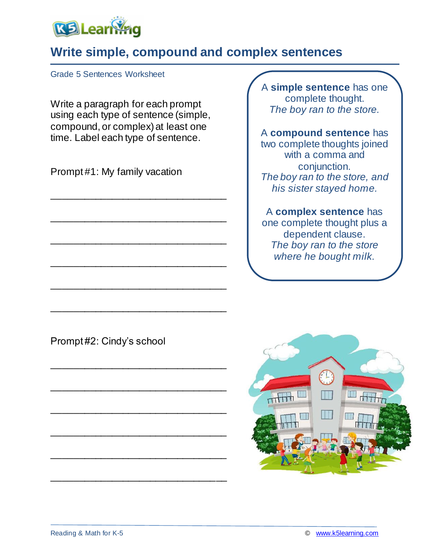

## **Write simple, compound and complex sentences**

Grade 5 Sentences Worksheet

Write a paragraph for each prompt using each type of sentence (simple, compound, or complex) at least one time. Label each type of sentence.

\_\_\_\_\_\_\_\_\_\_\_\_\_\_\_\_\_\_\_\_\_\_\_\_\_\_\_\_\_\_\_\_

\_\_\_\_\_\_\_\_\_\_\_\_\_\_\_\_\_\_\_\_\_\_\_\_\_\_\_\_\_\_\_\_

\_\_\_\_\_\_\_\_\_\_\_\_\_\_\_\_\_\_\_\_\_\_\_\_\_\_\_\_\_\_\_\_

\_\_\_\_\_\_\_\_\_\_\_\_\_\_\_\_\_\_\_\_\_\_\_\_\_\_\_\_\_\_\_\_

\_\_\_\_\_\_\_\_\_\_\_\_\_\_\_\_\_\_\_\_\_\_\_\_\_\_\_\_\_\_\_\_

\_\_\_\_\_\_\_\_\_\_\_\_\_\_\_\_\_\_\_\_\_\_\_\_\_\_\_\_\_\_\_\_

\_\_\_\_\_\_\_\_\_\_\_\_\_\_\_\_\_\_\_\_\_\_\_\_\_\_\_\_\_\_\_\_

\_\_\_\_\_\_\_\_\_\_\_\_\_\_\_\_\_\_\_\_\_\_\_\_\_\_\_\_\_\_\_\_

\_\_\_\_\_\_\_\_\_\_\_\_\_\_\_\_\_\_\_\_\_\_\_\_\_\_\_\_\_\_\_\_

\_\_\_\_\_\_\_\_\_\_\_\_\_\_\_\_\_\_\_\_\_\_\_\_\_\_\_\_\_\_\_\_

\_\_\_\_\_\_\_\_\_\_\_\_\_\_\_\_\_\_\_\_\_\_\_\_\_\_\_\_\_\_\_\_

\_\_\_\_\_\_\_\_\_\_\_\_\_\_\_\_\_\_\_\_\_\_\_\_\_\_\_\_\_\_\_\_

Prompt #1: My family vacation

A **simple sentence** has one complete thought. *The boy ran to the store.*

A **compound sentence** has two complete thoughts joined with a comma and conjunction. *The boy ran to the store, and his sister stayed home.*

### A **complex sentence** has

one complete thought plus a dependent clause. *The boy ran to the store where he bought milk.*

Prompt #2: Cindy's school